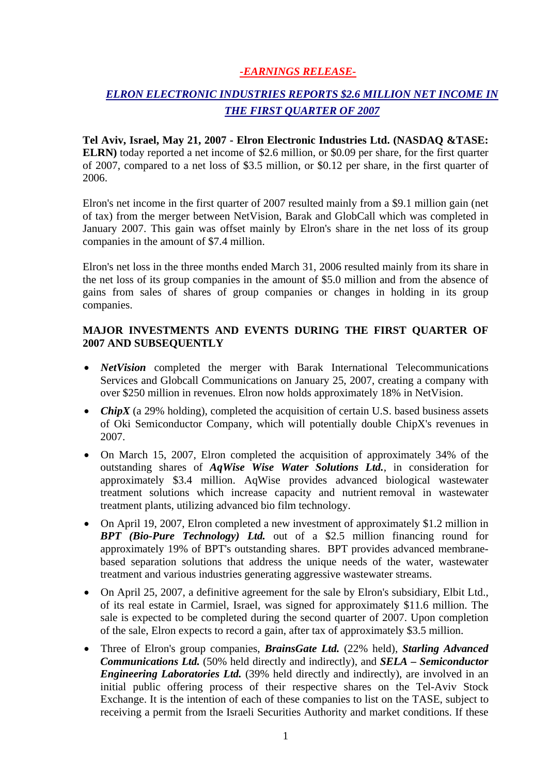### *-EARNINGS RELEASE-*

# *ELRON ELECTRONIC INDUSTRIES REPORTS \$2.6 MILLION NET INCOME IN THE FIRST QUARTER OF 2007*

**Tel Aviv, Israel, May 21, 2007 - Elron Electronic Industries Ltd. (NASDAQ &TASE: ELRN)** today reported a net income of \$2.6 million, or \$0.09 per share, for the first quarter of 2007, compared to a net loss of \$3.5 million, or \$0.12 per share, in the first quarter of 2006.

Elron's net income in the first quarter of 2007 resulted mainly from a \$9.1 million gain (net of tax) from the merger between NetVision, Barak and GlobCall which was completed in January 2007. This gain was offset mainly by Elron's share in the net loss of its group companies in the amount of \$7.4 million.

Elron's net loss in the three months ended March 31, 2006 resulted mainly from its share in the net loss of its group companies in the amount of \$5.0 million and from the absence of gains from sales of shares of group companies or changes in holding in its group companies.

#### **MAJOR INVESTMENTS AND EVENTS DURING THE FIRST QUARTER OF 2007 AND SUBSEQUENTLY**

- *NetVision* completed the merger with Barak International Telecommunications Services and Globcall Communications on January 25, 2007, creating a company with over \$250 million in revenues. Elron now holds approximately 18% in NetVision.
- *ChipX* (a 29% holding), completed the acquisition of certain U.S. based business assets of Oki Semiconductor Company, which will potentially double ChipX's revenues in 2007.
- On March 15, 2007, Elron completed the acquisition of approximately 34% of the outstanding shares of *AqWise Wise Water Solutions Ltd.*, in consideration for approximately \$3.4 million. AqWise provides advanced biological wastewater treatment solutions which increase capacity and nutrient removal in wastewater treatment plants, utilizing advanced bio film technology.
- On April 19, 2007, Elron completed a new investment of approximately \$1.2 million in *BPT (Bio-Pure Technology) Ltd.* out of a \$2.5 million financing round for approximately 19% of BPT's outstanding shares. BPT provides advanced membranebased separation solutions that address the unique needs of the water, wastewater treatment and various industries generating aggressive wastewater streams.
- On April 25, 2007, a definitive agreement for the sale by Elron's subsidiary, Elbit Ltd., of its real estate in Carmiel, Israel, was signed for approximately \$11.6 million. The sale is expected to be completed during the second quarter of 2007. Upon completion of the sale, Elron expects to record a gain, after tax of approximately \$3.5 million.
- Three of Elron's group companies, *BrainsGate Ltd.* (22% held), *Starling Advanced Communications Ltd.* (50% held directly and indirectly), and *SELA – Semiconductor Engineering Laboratories Ltd.* (39% held directly and indirectly), are involved in an initial public offering process of their respective shares on the Tel-Aviv Stock Exchange. It is the intention of each of these companies to list on the TASE, subject to receiving a permit from the Israeli Securities Authority and market conditions. If these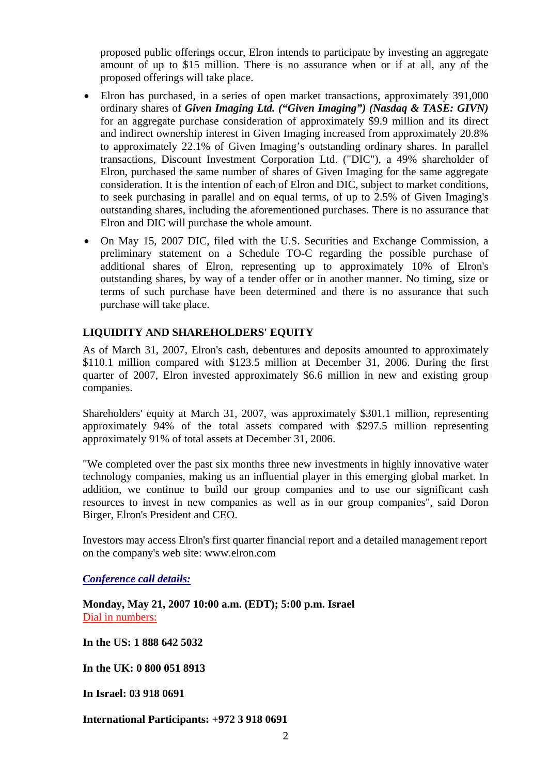proposed public offerings occur, Elron intends to participate by investing an aggregate amount of up to \$15 million. There is no assurance when or if at all, any of the proposed offerings will take place.

- Elron has purchased, in a series of open market transactions, approximately 391,000 ordinary shares of *Given Imaging Ltd. ("Given Imaging") (Nasdaq & TASE: GIVN)* for an aggregate purchase consideration of approximately \$9.9 million and its direct and indirect ownership interest in Given Imaging increased from approximately 20.8% to approximately 22.1% of Given Imaging's outstanding ordinary shares. In parallel transactions, Discount Investment Corporation Ltd. ("DIC"), a 49% shareholder of Elron, purchased the same number of shares of Given Imaging for the same aggregate consideration. It is the intention of each of Elron and DIC, subject to market conditions, to seek purchasing in parallel and on equal terms, of up to 2.5% of Given Imaging's outstanding shares, including the aforementioned purchases. There is no assurance that Elron and DIC will purchase the whole amount.
- On May 15, 2007 DIC, filed with the U.S. Securities and Exchange Commission, a preliminary statement on a Schedule TO-C regarding the possible purchase of additional shares of Elron, representing up to approximately 10% of Elron's outstanding shares, by way of a tender offer or in another manner. No timing, size or terms of such purchase have been determined and there is no assurance that such purchase will take place.

### **LIQUIDITY AND SHAREHOLDERS' EQUITY**

As of March 31, 2007, Elron's cash, debentures and deposits amounted to approximately \$110.1 million compared with \$123.5 million at December 31, 2006. During the first quarter of 2007, Elron invested approximately \$6.6 million in new and existing group companies.

Shareholders' equity at March 31, 2007, was approximately \$301.1 million, representing approximately 94% of the total assets compared with \$297.5 million representing approximately 91% of total assets at December 31, 2006.

"We completed over the past six months three new investments in highly innovative water technology companies, making us an influential player in this emerging global market. In addition, we continue to build our group companies and to use our significant cash resources to invest in new companies as well as in our group companies", said Doron Birger, Elron's President and CEO.

Investors may access Elron's first quarter financial report and a detailed management report on the company's web site: www.elron.com

*Conference call details:*

**Monday, May 21, 2007 10:00 a.m. (EDT); 5:00 p.m. Israel**  Dial in numbers:

**In the US: 1 888 642 5032** 

**In the UK: 0 800 051 8913**

**In Israel: 03 918 0691** 

**International Participants: +972 3 918 0691**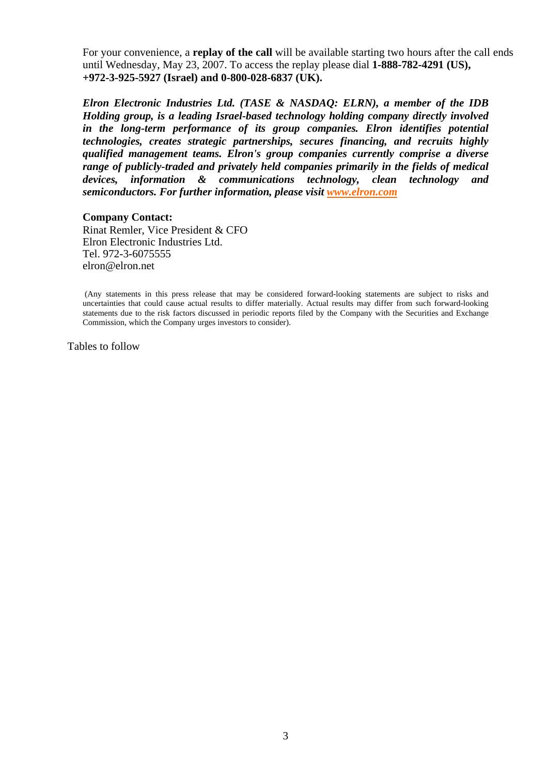For your convenience, a **replay of the call** will be available starting two hours after the call ends until Wednesday, May 23, 2007. To access the replay please dial **1-888-782-4291 (US), +972-3-925-5927 (Israel) and 0-800-028-6837 (UK).**

*Elron Electronic Industries Ltd. (TASE & NASDAQ: ELRN), a member of the IDB Holding group, is a leading Israel-based technology holding company directly involved in the long-term performance of its group companies. Elron identifies potential technologies, creates strategic partnerships, secures financing, and recruits highly qualified management teams. Elron's group companies currently comprise a diverse range of publicly-traded and privately held companies primarily in the fields of medical devices, information & communications technology, clean technology and semiconductors. For further information, please visit www.elron.com*

#### **Company Contact:**

Rinat Remler, Vice President & CFO Elron Electronic Industries Ltd. Tel. 972-3-6075555 elron@elron.net

 (Any statements in this press release that may be considered forward-looking statements are subject to risks and uncertainties that could cause actual results to differ materially. Actual results may differ from such forward-looking statements due to the risk factors discussed in periodic reports filed by the Company with the Securities and Exchange Commission, which the Company urges investors to consider).

Tables to follow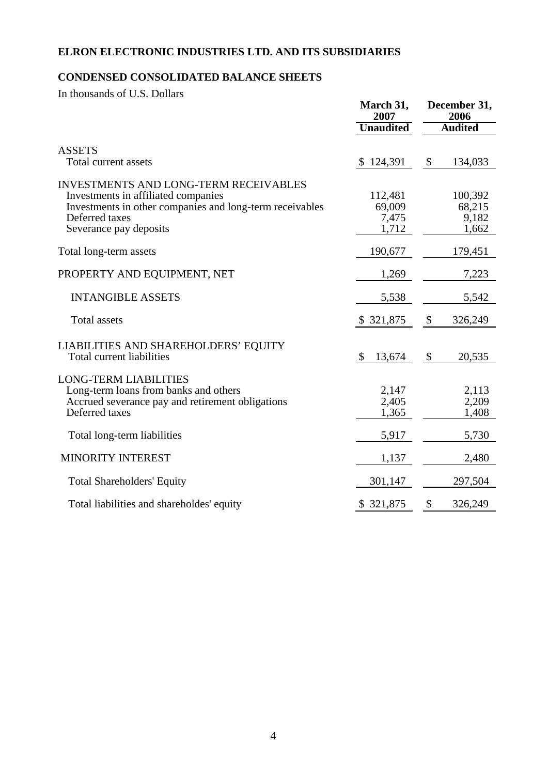# **ELRON ELECTRONIC INDUSTRIES LTD. AND ITS SUBSIDIARIES**

## **CONDENSED CONSOLIDATED BALANCE SHEETS**

In thousands of U.S. Dollars

|                                                                                                                                                                                             | March 31,<br>2007                   | December 31,<br>2006<br><b>Audited</b> |                                     |
|---------------------------------------------------------------------------------------------------------------------------------------------------------------------------------------------|-------------------------------------|----------------------------------------|-------------------------------------|
|                                                                                                                                                                                             | <b>Unaudited</b>                    |                                        |                                     |
| <b>ASSETS</b><br>Total current assets                                                                                                                                                       | 124,391                             | $\mathbb{S}$                           | 134,033                             |
| <b>INVESTMENTS AND LONG-TERM RECEIVABLES</b><br>Investments in affiliated companies<br>Investments in other companies and long-term receivables<br>Deferred taxes<br>Severance pay deposits | 112,481<br>69,009<br>7,475<br>1,712 |                                        | 100,392<br>68,215<br>9,182<br>1,662 |
| Total long-term assets                                                                                                                                                                      | 190,677                             |                                        | 179,451                             |
| PROPERTY AND EQUIPMENT, NET                                                                                                                                                                 | 1,269                               |                                        | 7,223                               |
| <b>INTANGIBLE ASSETS</b>                                                                                                                                                                    | 5,538                               |                                        | 5,542                               |
| Total assets                                                                                                                                                                                | \$ 321,875                          | \$                                     | 326,249                             |
| LIABILITIES AND SHAREHOLDERS' EQUITY<br>Total current liabilities                                                                                                                           | \$<br>13,674                        | \$                                     | 20,535                              |
| <b>LONG-TERM LIABILITIES</b><br>Long-term loans from banks and others<br>Accrued severance pay and retirement obligations<br>Deferred taxes                                                 | 2,147<br>2,405<br>1,365             |                                        | 2,113<br>2,209<br>1,408             |
| Total long-term liabilities                                                                                                                                                                 | 5,917                               |                                        | 5,730                               |
| MINORITY INTEREST                                                                                                                                                                           | 1,137                               |                                        | 2,480                               |
| <b>Total Shareholders' Equity</b>                                                                                                                                                           | 301,147                             |                                        | 297,504                             |
| Total liabilities and shareholdes' equity                                                                                                                                                   | \$ 321,875                          | \$                                     | 326,249                             |